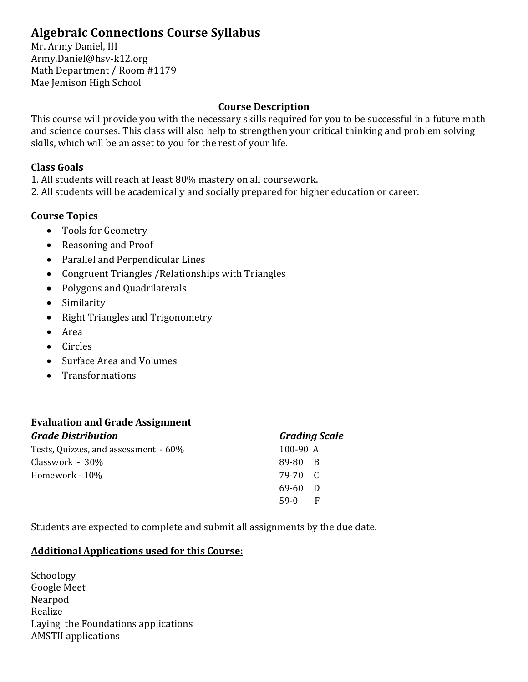# **Algebraic Connections Course Syllabus**

Mr. Army Daniel, III Army.Daniel@hsv-k12.org Math Department / Room #1179 Mae Jemison High School

### **Course Description**

This course will provide you with the necessary skills required for you to be successful in a future math and science courses. This class will also help to strengthen your critical thinking and problem solving skills, which will be an asset to you for the rest of your life.

#### **Class Goals**

1. All students will reach at least 80% mastery on all coursework.

2. All students will be academically and socially prepared for higher education or career.

# **Course Topics**

- Tools for Geometry
- Reasoning and Proof
- Parallel and Perpendicular Lines
- Congruent Triangles /Relationships with Triangles
- Polygons and Quadrilaterals
- Similarity
- Right Triangles and Trigonometry
- Area
- Circles
- Surface Area and Volumes
- Transformations

#### **Evaluation and Grade Assignment** *Grade Distribution*

| <b>Grade Distribution</b>            | <b>Grading Scale</b> |
|--------------------------------------|----------------------|
| Tests, Quizzes, and assessment - 60% | $100-90$ A           |
| Classwork - 30%                      | 89-80 B              |
| Homework - 10%                       | 79-70 C              |
|                                      | 69-60<br>- D         |
|                                      | $59-0$<br>F          |
|                                      |                      |

Students are expected to complete and submit all assignments by the due date.

# **Additional Applications used for this Course:**

**Schoology** Google Meet Nearpod Realize Laying the Foundations applications AMSTII applications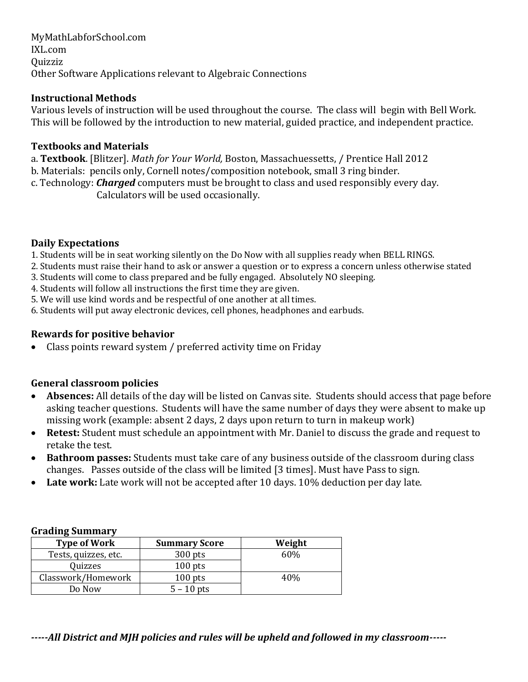MyMathLabforSchool.com IXL.com Quizziz Other Software Applications relevant to Algebraic Connections

# **Instructional Methods**

Various levels of instruction will be used throughout the course. The class will begin with Bell Work. This will be followed by the introduction to new material, guided practice, and independent practice.

#### **Textbooks and Materials**

a. **Textbook**. [Blitzer]. *Math for Your World,* Boston, Massachuessetts, / Prentice Hall 2012

b. Materials: pencils only, Cornell notes/composition notebook, small 3 ring binder.

c. Technology: *Charged* computers must be brought to class and used responsibly every day. Calculators will be used occasionally.

### **Daily Expectations**

- 1. Students will be in seat working silently on the Do Now with all supplies ready when BELL RINGS.
- 2. Students must raise their hand to ask or answer a question or to express a concern unless otherwise stated
- 3. Students will come to class prepared and be fully engaged. Absolutely NO sleeping.
- 4. Students will follow all instructions the first time they are given.
- 5. We will use kind words and be respectful of one another at all times.
- 6. Students will put away electronic devices, cell phones, headphones and earbuds.

# **Rewards for positive behavior**

• Class points reward system / preferred activity time on Friday

# **General classroom policies**

- **Absences:** All details of the day will be listed on Canvas site. Students should access that page before asking teacher questions. Students will have the same number of days they were absent to make up missing work (example: absent 2 days, 2 days upon return to turn in makeup work)
- **Retest:** Student must schedule an appointment with Mr. Daniel to discuss the grade and request to retake the test.
- **Bathroom passes:** Students must take care of any business outside of the classroom during class changes. Passes outside of the class will be limited [3 times]. Must have Pass to sign.
- Late work: Late work will not be accepted after 10 days. 10% deduction per day late.

#### **Grading Summary**

| <b>Type of Work</b>  | <b>Summary Score</b> | Weight |
|----------------------|----------------------|--------|
| Tests, quizzes, etc. | $300$ pts            | 60%    |
| Quizzes              | $100$ pts            |        |
| Classwork/Homework   | $100$ pts            | 40%    |
| Do Now               | $5 - 10$ pts         |        |

*-----All District and MJH policies and rules will be upheld and followed in my classroom-----*